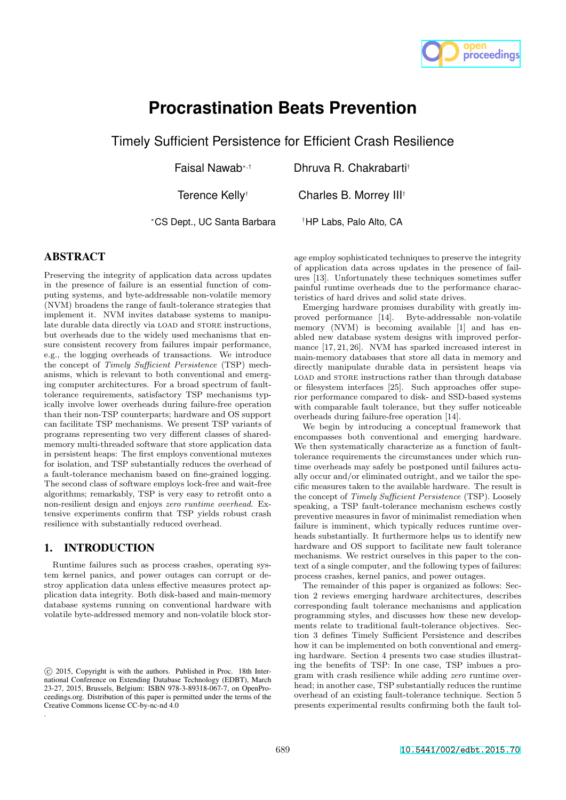

# **Procrastination Beats Prevention**

Timely Sufficient Persistence for Efficient Crash Resilience

Faisal Nawab⇤*,†* Dhruva R. Chakrabarti*†*

Terence Kelly*†* Charles B. Morrey III*†*

⇤CS Dept., UC Santa Barbara *†*HP Labs, Palo Alto, CA

## ABSTRACT

Preserving the integrity of application data across updates in the presence of failure is an essential function of computing systems, and byte-addressable non-volatile memory (NVM) broadens the range of fault-tolerance strategies that implement it. NVM invites database systems to manipulate durable data directly via LOAD and STORE instructions, but overheads due to the widely used mechanisms that ensure consistent recovery from failures impair performance, e.g., the logging overheads of transactions. We introduce the concept of *Timely Sufficient Persistence* (TSP) mechanisms, which is relevant to both conventional and emerging computer architectures. For a broad spectrum of faulttolerance requirements, satisfactory TSP mechanisms typically involve lower overheads during failure-free operation than their non-TSP counterparts; hardware and OS support can facilitate TSP mechanisms. We present TSP variants of programs representing two very different classes of sharedmemory multi-threaded software that store application data in persistent heaps: The first employs conventional mutexes for isolation, and TSP substantially reduces the overhead of a fault-tolerance mechanism based on fine-grained logging. The second class of software employs lock-free and wait-free algorithms; remarkably, TSP is very easy to retrofit onto a non-resilient design and enjoys *zero runtime overhead*. Extensive experiments confirm that TSP yields robust crash resilience with substantially reduced overhead.

# 1. INTRODUCTION

Runtime failures such as process crashes, operating system kernel panics, and power outages can corrupt or destroy application data unless effective measures protect application data integrity. Both disk-based and main-memory database systems running on conventional hardware with volatile byte-addressed memory and non-volatile block storage employ sophisticated techniques to preserve the integrity of application data across updates in the presence of failures  $[13]$ . Unfortunately these techniques sometimes suffer painful runtime overheads due to the performance characteristics of hard drives and solid state drives.

Emerging hardware promises durability with greatly improved performance [14]. Byte-addressable non-volatile memory (NVM) is becoming available [1] and has enabled new database system designs with improved performance [17, 21, 26]. NVM has sparked increased interest in main-memory databases that store all data in memory and directly manipulate durable data in persistent heaps via LOAD and STORE instructions rather than through database or filesystem interfaces [25]. Such approaches offer superior performance compared to disk- and SSD-based systems with comparable fault tolerance, but they suffer noticeable overheads during failure-free operation [14].

We begin by introducing a conceptual framework that encompasses both conventional and emerging hardware. We then systematically characterize as a function of faulttolerance requirements the circumstances under which runtime overheads may safely be postponed until failures actually occur and/or eliminated outright, and we tailor the specific measures taken to the available hardware. The result is the concept of *Timely Sufficient Persistence* (TSP). Loosely speaking, a TSP fault-tolerance mechanism eschews costly preventive measures in favor of minimalist remediation when failure is imminent, which typically reduces runtime overheads substantially. It furthermore helps us to identify new hardware and OS support to facilitate new fault tolerance mechanisms. We restrict ourselves in this paper to the context of a single computer, and the following types of failures: process crashes, kernel panics, and power outages.

The remainder of this paper is organized as follows: Section 2 reviews emerging hardware architectures, describes corresponding fault tolerance mechanisms and application programming styles, and discusses how these new developments relate to traditional fault-tolerance objectives. Section 3 defines Timely Sufficient Persistence and describes how it can be implemented on both conventional and emerging hardware. Section 4 presents two case studies illustrating the benefits of TSP: In one case, TSP imbues a program with crash resilience while adding *zero* runtime overhead; in another case, TSP substantially reduces the runtime overhead of an existing fault-tolerance technique. Section 5 presents experimental results confirming both the fault tol-

c 2015, Copyright is with the authors. Published in Proc. 18th International Conference on Extending Database Technology (EDBT), March 23-27, 2015, Brussels, Belgium: ISBN 978-3-89318-067-7, on OpenProceedings.org. Distribution of this paper is permitted under the terms of the Creative Commons license CC-by-nc-nd 4.0 .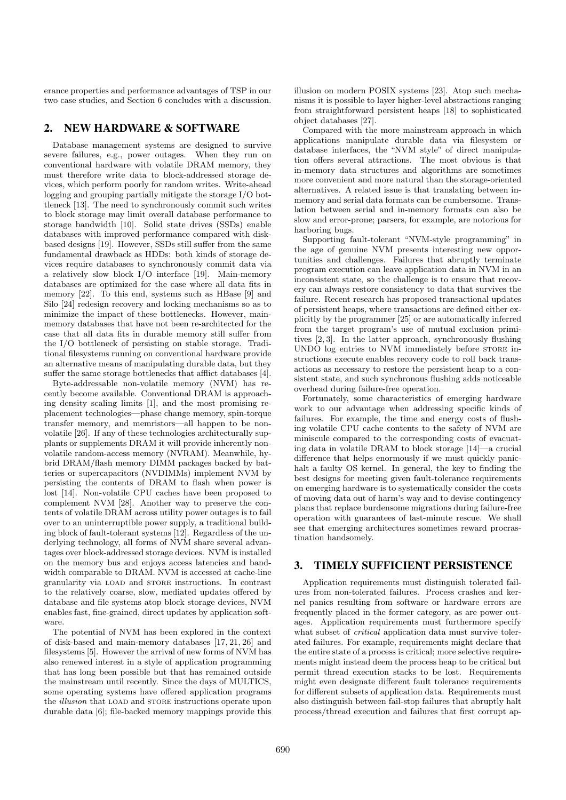erance properties and performance advantages of TSP in our two case studies, and Section 6 concludes with a discussion.

### 2. NEW HARDWARE & SOFTWARE

Database management systems are designed to survive severe failures, e.g., power outages. When they run on conventional hardware with volatile DRAM memory, they must therefore write data to block-addressed storage devices, which perform poorly for random writes. Write-ahead logging and grouping partially mitigate the storage I/O bottleneck [13]. The need to synchronously commit such writes to block storage may limit overall database performance to storage bandwidth [10]. Solid state drives (SSDs) enable databases with improved performance compared with diskbased designs [19]. However, SSDs still suffer from the same fundamental drawback as HDDs: both kinds of storage devices require databases to synchronously commit data via a relatively slow block I/O interface [19]. Main-memory databases are optimized for the case where all data fits in memory [22]. To this end, systems such as HBase [9] and Silo [24] redesign recovery and locking mechanisms so as to minimize the impact of these bottlenecks. However, mainmemory databases that have not been re-architected for the case that all data fits in durable memory still suffer from the I/O bottleneck of persisting on stable storage. Traditional filesystems running on conventional hardware provide an alternative means of manipulating durable data, but they suffer the same storage bottlenecks that afflict databases [4].

Byte-addressable non-volatile memory (NVM) has recently become available. Conventional DRAM is approaching density scaling limits [1], and the most promising replacement technologies—phase change memory, spin-torque transfer memory, and memristors—all happen to be nonvolatile [26]. If any of these technologies architecturally supplants or supplements DRAM it will provide inherently nonvolatile random-access memory (NVRAM). Meanwhile, hybrid DRAM/flash memory DIMM packages backed by batteries or supercapacitors (NVDIMMs) implement NVM by persisting the contents of DRAM to flash when power is lost [14]. Non-volatile CPU caches have been proposed to complement NVM [28]. Another way to preserve the contents of volatile DRAM across utility power outages is to fail over to an uninterruptible power supply, a traditional building block of fault-tolerant systems [12]. Regardless of the underlying technology, all forms of NVM share several advantages over block-addressed storage devices. NVM is installed on the memory bus and enjoys access latencies and bandwidth comparable to DRAM. NVM is accessed at cache-line granularity via load and store instructions. In contrast to the relatively coarse, slow, mediated updates offered by database and file systems atop block storage devices, NVM enables fast, fine-grained, direct updates by application software.

The potential of NVM has been explored in the context of disk-based and main-memory databases [17, 21, 26] and filesystems [5]. However the arrival of new forms of NVM has also renewed interest in a style of application programming that has long been possible but that has remained outside the mainstream until recently. Since the days of MULTICS, some operating systems have offered application programs the *illusion* that LOAD and STORE instructions operate upon durable data [6]; file-backed memory mappings provide this illusion on modern POSIX systems [23]. Atop such mechanisms it is possible to layer higher-level abstractions ranging from straightforward persistent heaps [18] to sophisticated object databases [27].

Compared with the more mainstream approach in which applications manipulate durable data via filesystem or database interfaces, the "NVM style" of direct manipulation offers several attractions. The most obvious is that in-memory data structures and algorithms are sometimes more convenient and more natural than the storage-oriented alternatives. A related issue is that translating between inmemory and serial data formats can be cumbersome. Translation between serial and in-memory formats can also be slow and error-prone; parsers, for example, are notorious for harboring bugs.

Supporting fault-tolerant "NVM-style programming" in the age of genuine NVM presents interesting new opportunities and challenges. Failures that abruptly terminate program execution can leave application data in NVM in an inconsistent state, so the challenge is to ensure that recovery can always restore consistency to data that survives the failure. Recent research has proposed transactional updates of persistent heaps, where transactions are defined either explicitly by the programmer [25] or are automatically inferred from the target program's use of mutual exclusion primitives [2, 3]. In the latter approach, synchronously flushing UNDO log entries to NVM immediately before store instructions execute enables recovery code to roll back transactions as necessary to restore the persistent heap to a consistent state, and such synchronous flushing adds noticeable overhead during failure-free operation.

Fortunately, some characteristics of emerging hardware work to our advantage when addressing specific kinds of failures. For example, the time and energy costs of flushing volatile CPU cache contents to the safety of NVM are miniscule compared to the corresponding costs of evacuating data in volatile DRAM to block storage [14]—a crucial difference that helps enormously if we must quickly panichalt a faulty OS kernel. In general, the key to finding the best designs for meeting given fault-tolerance requirements on emerging hardware is to systematically consider the costs of moving data out of harm's way and to devise contingency plans that replace burdensome migrations during failure-free operation with guarantees of last-minute rescue. We shall see that emerging architectures sometimes reward procrastination handsomely.

## 3. TIMELY SUFFICIENT PERSISTENCE

Application requirements must distinguish tolerated failures from non-tolerated failures. Process crashes and kernel panics resulting from software or hardware errors are frequently placed in the former category, as are power outages. Application requirements must furthermore specify what subset of *critical* application data must survive tolerated failures. For example, requirements might declare that the entire state of a process is critical; more selective requirements might instead deem the process heap to be critical but permit thread execution stacks to be lost. Requirements might even designate different fault tolerance requirements for different subsets of application data. Requirements must also distinguish between fail-stop failures that abruptly halt process/thread execution and failures that first corrupt ap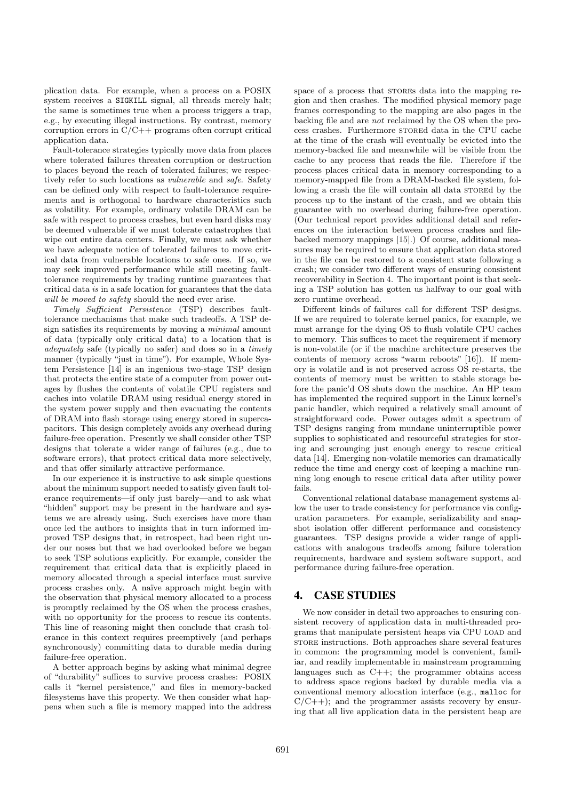plication data. For example, when a process on a POSIX system receives a SIGKILL signal, all threads merely halt; the same is sometimes true when a process triggers a trap, e.g., by executing illegal instructions. By contrast, memory corruption errors in  $C/C++$  programs often corrupt critical application data.

Fault-tolerance strategies typically move data from places where tolerated failures threaten corruption or destruction to places beyond the reach of tolerated failures; we respectively refer to such locations as *vulnerable* and *safe*. Safety can be defined only with respect to fault-tolerance requirements and is orthogonal to hardware characteristics such as volatility. For example, ordinary volatile DRAM can be safe with respect to process crashes, but even hard disks may be deemed vulnerable if we must tolerate catastrophes that wipe out entire data centers. Finally, we must ask whether we have adequate notice of tolerated failures to move critical data from vulnerable locations to safe ones. If so, we may seek improved performance while still meeting faulttolerance requirements by trading runtime guarantees that critical data *is* in a safe location for guarantees that the data *will be moved to safety* should the need ever arise.

*Timely Sucient Persistence* (TSP) describes faulttolerance mechanisms that make such tradeoffs. A TSP design satisfies its requirements by moving a *minimal* amount of data (typically only critical data) to a location that is *adequately* safe (typically no safer) and does so in a *timely* manner (typically "just in time"). For example, Whole System Persistence [14] is an ingenious two-stage TSP design that protects the entire state of a computer from power outages by flushes the contents of volatile CPU registers and caches into volatile DRAM using residual energy stored in the system power supply and then evacuating the contents of DRAM into flash storage using energy stored in supercapacitors. This design completely avoids any overhead during failure-free operation. Presently we shall consider other TSP designs that tolerate a wider range of failures (e.g., due to software errors), that protect critical data more selectively, and that offer similarly attractive performance.

In our experience it is instructive to ask simple questions about the minimum support needed to satisfy given fault tolerance requirements—if only just barely—and to ask what "hidden" support may be present in the hardware and systems we are already using. Such exercises have more than once led the authors to insights that in turn informed improved TSP designs that, in retrospect, had been right under our noses but that we had overlooked before we began to seek TSP solutions explicitly. For example, consider the requirement that critical data that is explicitly placed in memory allocated through a special interface must survive process crashes only. A naïve approach might begin with the observation that physical memory allocated to a process is promptly reclaimed by the OS when the process crashes, with no opportunity for the process to rescue its contents. This line of reasoning might then conclude that crash tolerance in this context requires preemptively (and perhaps synchronously) committing data to durable media during failure-free operation.

A better approach begins by asking what minimal degree of "durability" suffices to survive process crashes: POSIX calls it "kernel persistence," and files in memory-backed filesystems have this property. We then consider what happens when such a file is memory mapped into the address

space of a process that STOREs data into the mapping region and then crashes. The modified physical memory page frames corresponding to the mapping are also pages in the backing file and are *not* reclaimed by the OS when the process crashes. Furthermore stored data in the CPU cache at the time of the crash will eventually be evicted into the memory-backed file and meanwhile will be visible from the cache to any process that reads the file. Therefore if the process places critical data in memory corresponding to a memory-mapped file from a DRAM-backed file system, following a crash the file will contain all data stored by the process up to the instant of the crash, and we obtain this guarantee with no overhead during failure-free operation. (Our technical report provides additional detail and references on the interaction between process crashes and filebacked memory mappings [15].) Of course, additional measures may be required to ensure that application data stored in the file can be restored to a consistent state following a crash; we consider two different ways of ensuring consistent recoverability in Section 4. The important point is that seeking a TSP solution has gotten us halfway to our goal with zero runtime overhead.

Different kinds of failures call for different TSP designs. If we are required to tolerate kernel panics, for example, we must arrange for the dying OS to flush volatile CPU caches to memory. This suffices to meet the requirement if memory is non-volatile (or if the machine architecture preserves the contents of memory across "warm reboots" [16]). If memory is volatile and is not preserved across OS re-starts, the contents of memory must be written to stable storage before the panic'd OS shuts down the machine. An HP team has implemented the required support in the Linux kernel's panic handler, which required a relatively small amount of straightforward code. Power outages admit a spectrum of TSP designs ranging from mundane uninterruptible power supplies to sophisticated and resourceful strategies for storing and scrounging just enough energy to rescue critical data [14]. Emerging non-volatile memories can dramatically reduce the time and energy cost of keeping a machine running long enough to rescue critical data after utility power fails.

Conventional relational database management systems allow the user to trade consistency for performance via configuration parameters. For example, serializability and snapshot isolation offer different performance and consistency guarantees. TSP designs provide a wider range of applications with analogous tradeoffs among failure toleration requirements, hardware and system software support, and performance during failure-free operation.

## 4. CASE STUDIES

We now consider in detail two approaches to ensuring consistent recovery of application data in multi-threaded programs that manipulate persistent heaps via CPU load and store instructions. Both approaches share several features in common: the programming model is convenient, familiar, and readily implementable in mainstream programming languages such as  $C++$ ; the programmer obtains access to address space regions backed by durable media via a conventional memory allocation interface (e.g., malloc for  $C/C++$ ; and the programmer assists recovery by ensuring that all live application data in the persistent heap are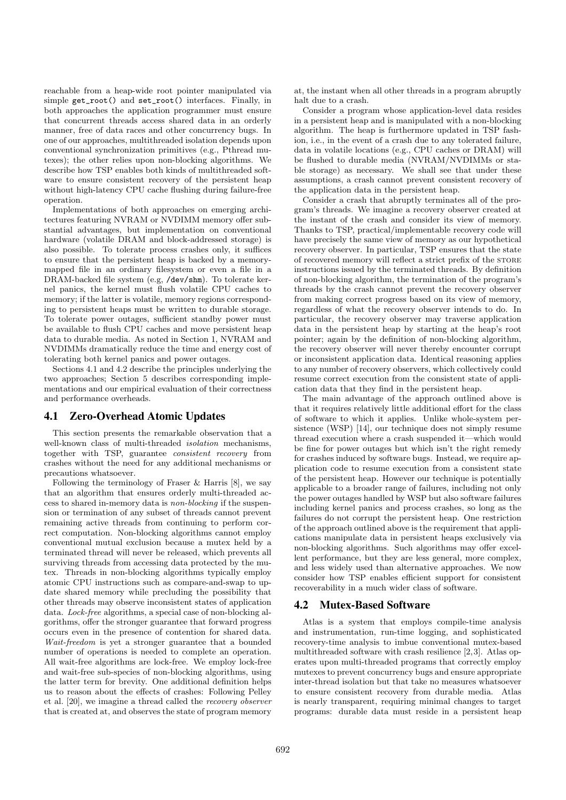reachable from a heap-wide root pointer manipulated via simple get\_root() and set\_root() interfaces. Finally, in both approaches the application programmer must ensure that concurrent threads access shared data in an orderly manner, free of data races and other concurrency bugs. In one of our approaches, multithreaded isolation depends upon conventional synchronization primitives (e.g., Pthread mutexes); the other relies upon non-blocking algorithms. We describe how TSP enables both kinds of multithreaded software to ensure consistent recovery of the persistent heap without high-latency CPU cache flushing during failure-free operation.

Implementations of both approaches on emerging architectures featuring NVRAM or NVDIMM memory offer substantial advantages, but implementation on conventional hardware (volatile DRAM and block-addressed storage) is also possible. To tolerate process crashes only, it suffices to ensure that the persistent heap is backed by a memorymapped file in an ordinary filesystem or even a file in a DRAM-backed file system (e.g, /dev/shm). To tolerate kernel panics, the kernel must flush volatile CPU caches to memory; if the latter is volatile, memory regions corresponding to persistent heaps must be written to durable storage. To tolerate power outages, sufficient standby power must be available to flush CPU caches and move persistent heap data to durable media. As noted in Section 1, NVRAM and NVDIMMs dramatically reduce the time and energy cost of tolerating both kernel panics and power outages.

Sections 4.1 and 4.2 describe the principles underlying the two approaches; Section 5 describes corresponding implementations and our empirical evaluation of their correctness and performance overheads.

## 4.1 Zero-Overhead Atomic Updates

This section presents the remarkable observation that a well-known class of multi-threaded *isolation* mechanisms, together with TSP, guarantee *consistent recovery* from crashes without the need for any additional mechanisms or precautions whatsoever.

Following the terminology of Fraser & Harris [8], we say that an algorithm that ensures orderly multi-threaded access to shared in-memory data is *non-blocking* if the suspension or termination of any subset of threads cannot prevent remaining active threads from continuing to perform correct computation. Non-blocking algorithms cannot employ conventional mutual exclusion because a mutex held by a terminated thread will never be released, which prevents all surviving threads from accessing data protected by the mutex. Threads in non-blocking algorithms typically employ atomic CPU instructions such as compare-and-swap to update shared memory while precluding the possibility that other threads may observe inconsistent states of application data. *Lock-free* algorithms, a special case of non-blocking algorithms, offer the stronger guarantee that forward progress occurs even in the presence of contention for shared data. *Wait-freedom* is yet a stronger guarantee that a bounded number of operations is needed to complete an operation. All wait-free algorithms are lock-free. We employ lock-free and wait-free sub-species of non-blocking algorithms, using the latter term for brevity. One additional definition helps us to reason about the effects of crashes: Following Pelley et al. [20], we imagine a thread called the *recovery observer* that is created at, and observes the state of program memory

at, the instant when all other threads in a program abruptly halt due to a crash.

Consider a program whose application-level data resides in a persistent heap and is manipulated with a non-blocking algorithm. The heap is furthermore updated in TSP fashion, i.e., in the event of a crash due to any tolerated failure, data in volatile locations (e.g., CPU caches or DRAM) will be flushed to durable media (NVRAM/NVDIMMs or stable storage) as necessary. We shall see that under these assumptions, a crash cannot prevent consistent recovery of the application data in the persistent heap.

Consider a crash that abruptly terminates all of the program's threads. We imagine a recovery observer created at the instant of the crash and consider its view of memory. Thanks to TSP, practical/implementable recovery code will have precisely the same view of memory as our hypothetical recovery observer. In particular, TSP ensures that the state of recovered memory will reflect a strict prefix of the STORE instructions issued by the terminated threads. By definition of non-blocking algorithm, the termination of the program's threads by the crash cannot prevent the recovery observer from making correct progress based on its view of memory, regardless of what the recovery observer intends to do. In particular, the recovery observer may traverse application data in the persistent heap by starting at the heap's root pointer; again by the definition of non-blocking algorithm, the recovery observer will never thereby encounter corrupt or inconsistent application data. Identical reasoning applies to any number of recovery observers, which collectively could resume correct execution from the consistent state of application data that they find in the persistent heap.

The main advantage of the approach outlined above is that it requires relatively little additional effort for the class of software to which it applies. Unlike whole-system persistence (WSP) [14], our technique does not simply resume thread execution where a crash suspended it—which would be fine for power outages but which isn't the right remedy for crashes induced by software bugs. Instead, we require application code to resume execution from a consistent state of the persistent heap. However our technique is potentially applicable to a broader range of failures, including not only the power outages handled by WSP but also software failures including kernel panics and process crashes, so long as the failures do not corrupt the persistent heap. One restriction of the approach outlined above is the requirement that applications manipulate data in persistent heaps exclusively via non-blocking algorithms. Such algorithms may offer excellent performance, but they are less general, more complex, and less widely used than alternative approaches. We now consider how TSP enables efficient support for consistent recoverability in a much wider class of software.

## 4.2 Mutex-Based Software

Atlas is a system that employs compile-time analysis and instrumentation, run-time logging, and sophisticated recovery-time analysis to imbue conventional mutex-based multithreaded software with crash resilience [2,3]. Atlas operates upon multi-threaded programs that correctly employ mutexes to prevent concurrency bugs and ensure appropriate inter-thread isolation but that take no measures whatsoever to ensure consistent recovery from durable media. Atlas is nearly transparent, requiring minimal changes to target programs: durable data must reside in a persistent heap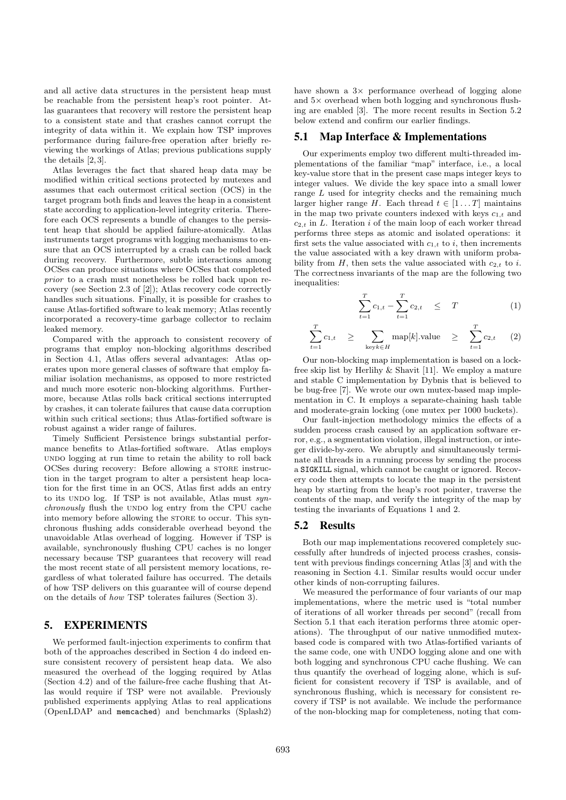and all active data structures in the persistent heap must be reachable from the persistent heap's root pointer. Atlas guarantees that recovery will restore the persistent heap to a consistent state and that crashes cannot corrupt the integrity of data within it. We explain how TSP improves performance during failure-free operation after briefly reviewing the workings of Atlas; previous publications supply the details [2, 3].

Atlas leverages the fact that shared heap data may be modified within critical sections protected by mutexes and assumes that each outermost critical section (OCS) in the target program both finds and leaves the heap in a consistent state according to application-level integrity criteria. Therefore each OCS represents a bundle of changes to the persistent heap that should be applied failure-atomically. Atlas instruments target programs with logging mechanisms to ensure that an OCS interrupted by a crash can be rolled back during recovery. Furthermore, subtle interactions among OCSes can produce situations where OCSes that completed *prior* to a crash must nonetheless be rolled back upon recovery (see Section 2.3 of [2]); Atlas recovery code correctly handles such situations. Finally, it is possible for crashes to cause Atlas-fortified software to leak memory; Atlas recently incorporated a recovery-time garbage collector to reclaim leaked memory.

Compared with the approach to consistent recovery of programs that employ non-blocking algorithms described in Section 4.1, Atlas offers several advantages: Atlas operates upon more general classes of software that employ familiar isolation mechanisms, as opposed to more restricted and much more esoteric non-blocking algorithms. Furthermore, because Atlas rolls back critical sections interrupted by crashes, it can tolerate failures that cause data corruption within such critical sections; thus Atlas-fortified software is robust against a wider range of failures.

Timely Sufficient Persistence brings substantial performance benefits to Atlas-fortified software. Atlas employs undo logging at run time to retain the ability to roll back OCSes during recovery: Before allowing a STORE instruction in the target program to alter a persistent heap location for the first time in an OCS, Atlas first adds an entry to its UNDO log. If TSP is not available, Atlas must *synchronously* flush the UNDO log entry from the CPU cache into memory before allowing the STORE to occur. This synchronous flushing adds considerable overhead beyond the unavoidable Atlas overhead of logging. However if TSP is available, synchronously flushing CPU caches is no longer necessary because TSP guarantees that recovery will read the most recent state of all persistent memory locations, regardless of what tolerated failure has occurred. The details of how TSP delivers on this guarantee will of course depend on the details of *how* TSP tolerates failures (Section 3).

### 5. EXPERIMENTS

We performed fault-injection experiments to confirm that both of the approaches described in Section 4 do indeed ensure consistent recovery of persistent heap data. We also measured the overhead of the logging required by Atlas (Section 4.2) and of the failure-free cache flushing that Atlas would require if TSP were not available. Previously published experiments applying Atlas to real applications (OpenLDAP and memcached) and benchmarks (Splash2)

have shown a  $3\times$  performance overhead of logging alone and  $5\times$  overhead when both logging and synchronous flushing are enabled [3]. The more recent results in Section 5.2 below extend and confirm our earlier findings.

#### 5.1 Map Interface & Implementations

Our experiments employ two different multi-threaded implementations of the familiar "map" interface, i.e., a local key-value store that in the present case maps integer keys to integer values. We divide the key space into a small lower range *L* used for integrity checks and the remaining much larger higher range *H*. Each thread  $t \in [1 \dots T]$  maintains in the map two private counters indexed with keys *c*1*,t* and  $c_{2,t}$  in  $L$ . Iteration  $i$  of the main loop of each worker thread performs three steps as atomic and isolated operations: it first sets the value associated with  $c_{1,t}$  to  $i$ , then increments the value associated with a key drawn with uniform probability from  $H$ , then sets the value associated with  $c_{2,t}$  to *i*. The correctness invariants of the map are the following two inequalities:

$$
\sum_{t=1}^{T} c_{1,t} - \sum_{t=1}^{T} c_{2,t} \leq T \tag{1}
$$

$$
\sum_{t=1}^{T} c_{1,t} \geq \sum_{\text{key } k \in H} \text{map}[k].\text{value} \geq \sum_{t=1}^{T} c_{2,t} \quad (2)
$$

Our non-blocking map implementation is based on a lockfree skip list by Herlihy & Shavit [11]. We employ a mature and stable C implementation by Dybnis that is believed to be bug-free [7]. We wrote our own mutex-based map implementation in C. It employs a separate-chaining hash table and moderate-grain locking (one mutex per 1000 buckets).

Our fault-injection methodology mimics the effects of a sudden process crash caused by an application software error, e.g., a segmentation violation, illegal instruction, or integer divide-by-zero. We abruptly and simultaneously terminate all threads in a running process by sending the process a SIGKILL signal, which cannot be caught or ignored. Recovery code then attempts to locate the map in the persistent heap by starting from the heap's root pointer, traverse the contents of the map, and verify the integrity of the map by testing the invariants of Equations 1 and 2.

#### 5.2 Results

Both our map implementations recovered completely successfully after hundreds of injected process crashes, consistent with previous findings concerning Atlas [3] and with the reasoning in Section 4.1. Similar results would occur under other kinds of non-corrupting failures.

We measured the performance of four variants of our map implementations, where the metric used is "total number of iterations of all worker threads per second" (recall from Section 5.1 that each iteration performs three atomic operations). The throughput of our native unmodified mutexbased code is compared with two Atlas-fortified variants of the same code, one with UNDO logging alone and one with both logging and synchronous CPU cache flushing. We can thus quantify the overhead of logging alone, which is sufficient for consistent recovery if TSP is available, and of synchronous flushing, which is necessary for consistent recovery if TSP is not available. We include the performance of the non-blocking map for completeness, noting that com-